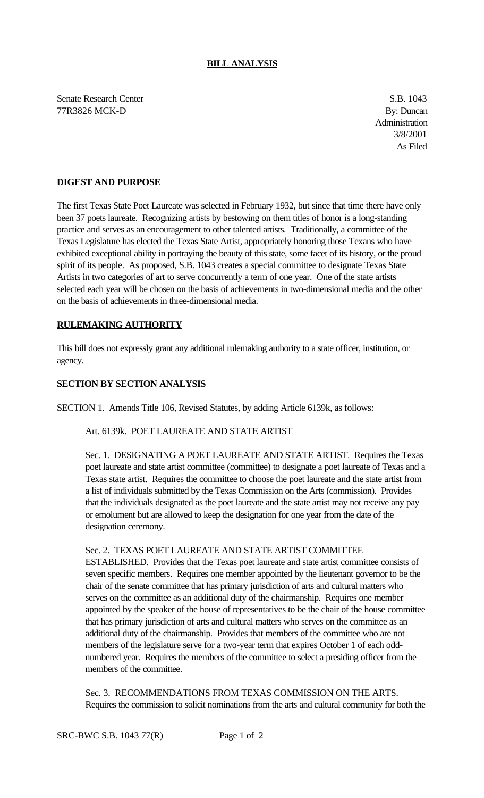### **BILL ANALYSIS**

Senate Research Center S.B. 1043 77R3826 MCK-D By: Duncan

Administration 3/8/2001 As Filed

# **DIGEST AND PURPOSE**

The first Texas State Poet Laureate was selected in February 1932, but since that time there have only been 37 poets laureate. Recognizing artists by bestowing on them titles of honor is a long-standing practice and serves as an encouragement to other talented artists. Traditionally, a committee of the Texas Legislature has elected the Texas State Artist, appropriately honoring those Texans who have exhibited exceptional ability in portraying the beauty of this state, some facet of its history, or the proud spirit of its people. As proposed, S.B. 1043 creates a special committee to designate Texas State Artists in two categories of art to serve concurrently a term of one year. One of the state artists selected each year will be chosen on the basis of achievements in two-dimensional media and the other on the basis of achievements in three-dimensional media.

## **RULEMAKING AUTHORITY**

This bill does not expressly grant any additional rulemaking authority to a state officer, institution, or agency.

## **SECTION BY SECTION ANALYSIS**

SECTION 1. Amends Title 106, Revised Statutes, by adding Article 6139k, as follows:

### Art. 6139k. POET LAUREATE AND STATE ARTIST

Sec. 1. DESIGNATING A POET LAUREATE AND STATE ARTIST. Requires the Texas poet laureate and state artist committee (committee) to designate a poet laureate of Texas and a Texas state artist. Requires the committee to choose the poet laureate and the state artist from a list of individuals submitted by the Texas Commission on the Arts (commission). Provides that the individuals designated as the poet laureate and the state artist may not receive any pay or emolument but are allowed to keep the designation for one year from the date of the designation ceremony.

#### Sec. 2. TEXAS POET LAUREATE AND STATE ARTIST COMMITTEE

ESTABLISHED. Provides that the Texas poet laureate and state artist committee consists of seven specific members. Requires one member appointed by the lieutenant governor to be the chair of the senate committee that has primary jurisdiction of arts and cultural matters who serves on the committee as an additional duty of the chairmanship. Requires one member appointed by the speaker of the house of representatives to be the chair of the house committee that has primary jurisdiction of arts and cultural matters who serves on the committee as an additional duty of the chairmanship. Provides that members of the committee who are not members of the legislature serve for a two-year term that expires October 1 of each oddnumbered year. Requires the members of the committee to select a presiding officer from the members of the committee.

Sec. 3. RECOMMENDATIONS FROM TEXAS COMMISSION ON THE ARTS. Requires the commission to solicit nominations from the arts and cultural community for both the